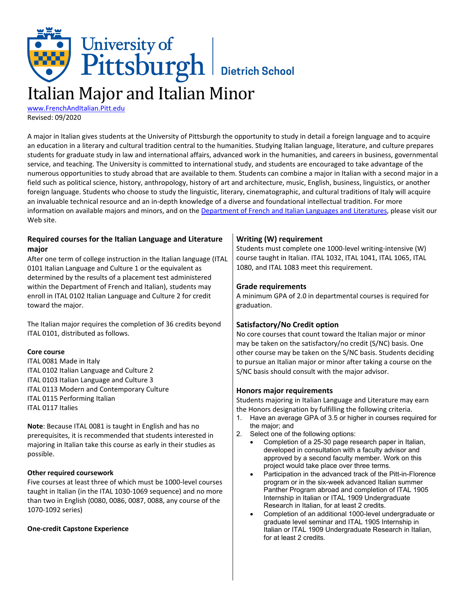# University of<br>Pittsburgh Bietrich School Italian Major and Italian Minor

[www.FrenchAndItalian.Pitt.edu](http://www.frenchanditalian.pitt.edu/) Revised: 09/2020

A major in Italian gives students at the University of Pittsburgh the opportunity to study in detail a foreign language and to acquire an education in a literary and cultural tradition central to the humanities. Studying Italian language, literature, and culture prepares students for graduate study in law and international affairs, advanced work in the humanities, and careers in business, governmental service, and teaching. The University is committed to international study, and students are encouraged to take advantage of the numerous opportunities to study abroad that are available to them. Students can combine a major in Italian with a second major in a field such as political science, history, anthropology, history of art and architecture, music, English, business, linguistics, or another foreign language. Students who choose to study the linguistic, literary, cinematographic, and cultural traditions of Italy will acquire an invaluable technical resource and an in-depth knowledge of a diverse and foundational intellectual tradition. For more information on available majors and minors, and on th[e Department of French and Italian Languages and Literatures,](http://www.frenchanditalian.pitt.edu/) please visit our Web site.

## **Required courses for the Italian Language and Literature major**

After one term of college instruction in the Italian language (ITAL 0101 Italian Language and Culture 1 or the equivalent as determined by the results of a placement test administered within the Department of French and Italian), students may enroll in ITAL 0102 Italian Language and Culture 2 for credit toward the major.

The Italian major requires the completion of 36 credits beyond ITAL 0101, distributed as follows.

### **Core course**

ITAL 0081 Made in Italy ITAL 0102 Italian Language and Culture 2 ITAL 0103 Italian Language and Culture 3 ITAL 0113 Modern and Contemporary Culture ITAL 0115 Performing Italian ITAL 0117 Italies

**Note**: Because ITAL 0081 is taught in English and has no prerequisites, it is recommended that students interested in majoring in Italian take this course as early in their studies as possible.

## **Other required coursework**

Five courses at least three of which must be 1000-level courses taught in Italian (in the ITAL 1030-1069 sequence) and no more than two in English (0080, 0086, 0087, 0088, any course of the 1070-1092 series)

## **One-credit Capstone Experience**

## **Writing (W) requirement**

Students must complete one 1000-level writing-intensive (W) course taught in Italian. ITAL 1032, ITAL 1041, ITAL 1065, ITAL 1080, and ITAL 1083 meet this requirement.

## **Grade requirements**

A minimum GPA of 2.0 in departmental courses is required for graduation.

## **Satisfactory/No Credit option**

No core courses that count toward the Italian major or minor may be taken on the satisfactory/no credit (S/NC) basis. One other course may be taken on the S/NC basis. Students deciding to pursue an Italian major or minor after taking a course on the S/NC basis should consult with the major advisor.

## **Honors major requirements**

Students majoring in Italian Language and Literature may earn the Honors designation by fulfilling the following criteria.

- 1. Have an average GPA of 3.5 or higher in courses required for the major; and
- 2. Select one of the following options:
	- Completion of a 25-30 page research paper in Italian, developed in consultation with a faculty advisor and approved by a second faculty member. Work on this project would take place over three terms.
	- Participation in the advanced track of the Pitt-in-Florence program or in the six-week advanced Italian summer Panther Program abroad and completion of ITAL 1905 Internship in Italian or ITAL 1909 Undergraduate Research in Italian, for at least 2 credits.
	- Completion of an additional 1000-level undergraduate or graduate level seminar and ITAL 1905 Internship in Italian or ITAL 1909 Undergraduate Research in Italian, for at least 2 credits.